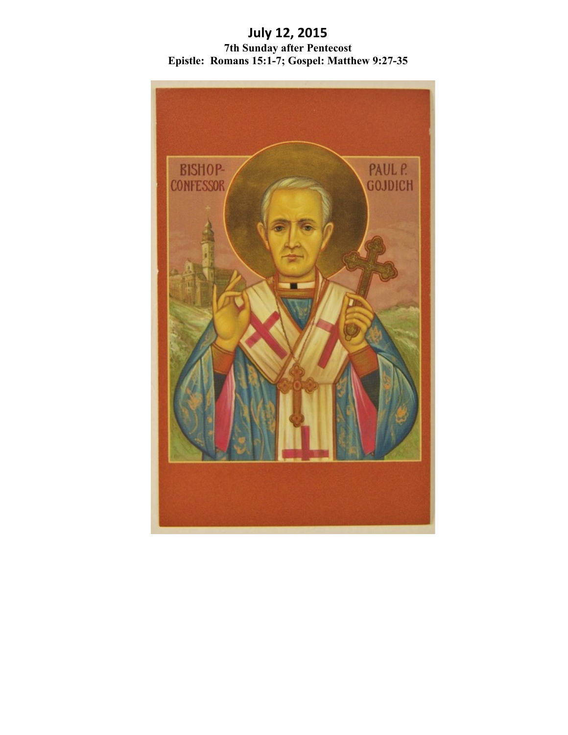# **July 12, 2015 7th Sunday after Pentecost Epistle: Romans 15:1-7; Gospel: Matthew 9:27-35**

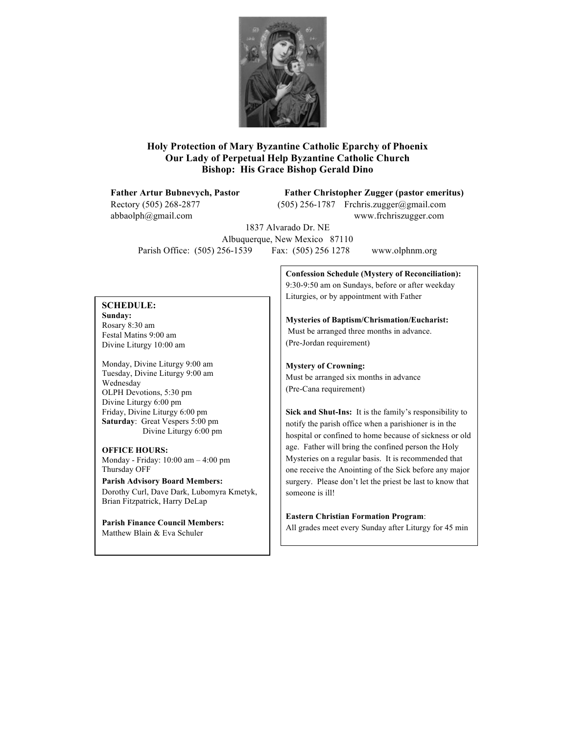

# **Holy Protection of Mary Byzantine Catholic Eparchy of Phoenix Our Lady of Perpetual Help Byzantine Catholic Church Bishop: His Grace Bishop Gerald Dino**

Rectory (505) 268-2877 (505) 256-1787 Frchris.zugger@gmail.com abbaolph@gmail.com www.frchriszugger.com

**Father Artur Bubnevych, Pastor Father Christopher Zugger (pastor emeritus)**

1837 Alvarado Dr. NE Albuquerque, New Mexico 87110 Parish Office: (505) 256-1539 Fax: (505) 256 1278 www.olphnm.org

### **SCHEDULE:**

**Sunday:** Rosary 8:30 am Festal Matins 9:00 am Divine Liturgy 10:00 am

Monday, Divine Liturgy 9:00 am Tuesday, Divine Liturgy 9:00 am Wednesday OLPH Devotions, 5:30 pm Divine Liturgy 6:00 pm Friday, Divine Liturgy 6:00 pm **Saturday**: Great Vespers 5:00 pm Divine Liturgy 6:00 pm

#### **OFFICE HOURS:**

Monday - Friday: 10:00 am – 4:00 pm Thursday OFF

**Parish Advisory Board Members:** Dorothy Curl, Dave Dark, Lubomyra Kmetyk, Brian Fitzpatrick, Harry DeLap

**Parish Finance Council Members:** Matthew Blain & Eva Schuler

**Confession Schedule (Mystery of Reconciliation):** 9:30-9:50 am on Sundays, before or after weekday Liturgies, or by appointment with Father

**Mysteries of Baptism/Chrismation/Eucharist:** Must be arranged three months in advance. (Pre-Jordan requirement)

**Mystery of Crowning:** Must be arranged six months in advance

(Pre-Cana requirement)

**Sick and Shut-Ins:** It is the family's responsibility to notify the parish office when a parishioner is in the hospital or confined to home because of sickness or old age. Father will bring the confined person the Holy Mysteries on a regular basis. It is recommended that one receive the Anointing of the Sick before any major surgery. Please don't let the priest be last to know that someone is ill!

**Eastern Christian Formation Program**: All grades meet every Sunday after Liturgy for 45 min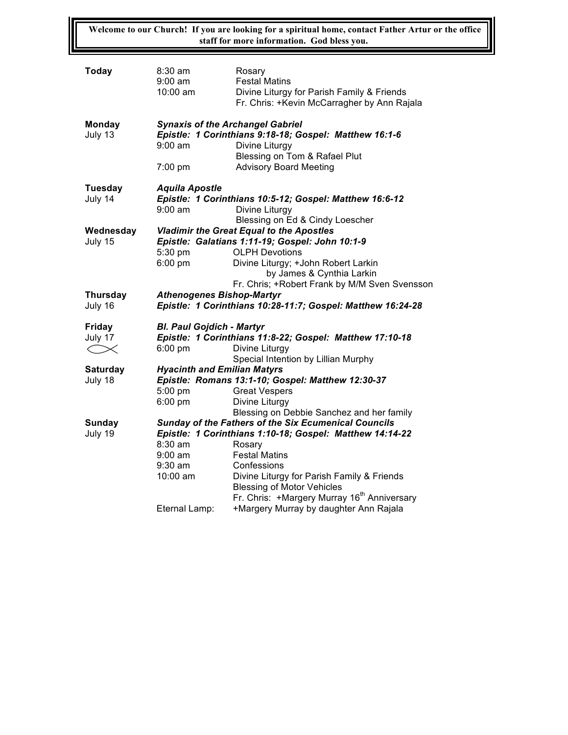**Welcome to our Church! If you are looking for a spiritual home, contact Father Artur or the office staff for more information. God bless you.**

| Today                 | $8:30 \text{ am}$<br>$9:00 \text{ am}$<br>10:00 am                                                 | Rosary<br><b>Festal Matins</b><br>Divine Liturgy for Parish Family & Friends<br>Fr. Chris: +Kevin McCarragher by Ann Rajala                |  |  |  |
|-----------------------|----------------------------------------------------------------------------------------------------|--------------------------------------------------------------------------------------------------------------------------------------------|--|--|--|
| Monday<br>July 13     | <b>Synaxis of the Archangel Gabriel</b><br>$9:00$ am<br>7:00 pm                                    | Epistle: 1 Corinthians 9:18-18; Gospel: Matthew 16:1-6<br>Divine Liturgy<br>Blessing on Tom & Rafael Plut<br><b>Advisory Board Meeting</b> |  |  |  |
| Tuesday               | <b>Aquila Apostle</b>                                                                              |                                                                                                                                            |  |  |  |
| July 14               | $9:00$ am                                                                                          | Epistle: 1 Corinthians 10:5-12; Gospel: Matthew 16:6-12<br>Divine Liturgy                                                                  |  |  |  |
|                       |                                                                                                    | Blessing on Ed & Cindy Loescher                                                                                                            |  |  |  |
| Wednesday<br>July 15  | <b>Vladimir the Great Equal to the Apostles</b><br>Epistle: Galatians 1:11-19; Gospel: John 10:1-9 |                                                                                                                                            |  |  |  |
|                       | 5:30 pm                                                                                            | <b>OLPH Devotions</b>                                                                                                                      |  |  |  |
|                       | $6:00$ pm                                                                                          | Divine Liturgy; +John Robert Larkin                                                                                                        |  |  |  |
|                       | by James & Cynthia Larkin                                                                          |                                                                                                                                            |  |  |  |
|                       |                                                                                                    | Fr. Chris; +Robert Frank by M/M Sven Svensson                                                                                              |  |  |  |
|                       | <b>Athenogenes Bishop-Martyr</b>                                                                   |                                                                                                                                            |  |  |  |
| <b>Thursday</b>       |                                                                                                    |                                                                                                                                            |  |  |  |
| July 16               |                                                                                                    | Epistle: 1 Corinthians 10:28-11:7; Gospel: Matthew 16:24-28                                                                                |  |  |  |
|                       |                                                                                                    |                                                                                                                                            |  |  |  |
| <b>Friday</b>         | <b>Bl. Paul Gojdich - Martyr</b>                                                                   |                                                                                                                                            |  |  |  |
| July 17<br>$<\!\!\!<$ | $6:00$ pm                                                                                          | Epistle: 1 Corinthians 11:8-22; Gospel: Matthew 17:10-18<br>Divine Liturgy                                                                 |  |  |  |
|                       |                                                                                                    | Special Intention by Lillian Murphy                                                                                                        |  |  |  |
| <b>Saturday</b>       | <b>Hyacinth and Emilian Matyrs</b>                                                                 |                                                                                                                                            |  |  |  |
| July 18               |                                                                                                    | Epistle: Romans 13:1-10; Gospel: Matthew 12:30-37                                                                                          |  |  |  |
|                       | 5:00 pm                                                                                            | <b>Great Vespers</b>                                                                                                                       |  |  |  |
|                       | $6:00$ pm                                                                                          | Divine Liturgy                                                                                                                             |  |  |  |
|                       |                                                                                                    | Blessing on Debbie Sanchez and her family                                                                                                  |  |  |  |
| Sunday                |                                                                                                    | Sunday of the Fathers of the Six Ecumenical Councils                                                                                       |  |  |  |
| July 19               |                                                                                                    | Epistle: 1 Corinthians 1:10-18; Gospel: Matthew 14:14-22                                                                                   |  |  |  |
|                       | $8:30$ am<br>$9:00$ am                                                                             | Rosary<br><b>Festal Matins</b>                                                                                                             |  |  |  |
|                       | $9:30$ am                                                                                          | Confessions                                                                                                                                |  |  |  |
|                       | 10:00 am                                                                                           | Divine Liturgy for Parish Family & Friends                                                                                                 |  |  |  |
|                       |                                                                                                    | <b>Blessing of Motor Vehicles</b>                                                                                                          |  |  |  |
|                       | Eternal Lamp:                                                                                      | Fr. Chris: +Margery Murray 16 <sup>th</sup> Anniversary<br>+Margery Murray by daughter Ann Rajala                                          |  |  |  |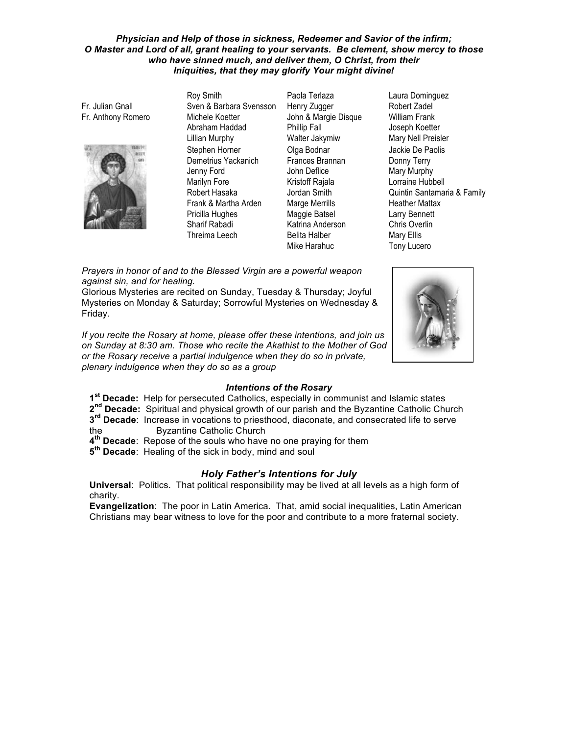### Physician and Help of those in sickness, Redeemer and Savior of the infirm; O Master and Lord of all, grant healing to your servants. Be clement, show mercy to those who have sinned much, and deliver them, O Christ, from their Iniquities, that they may glorify Your might divine!

Fr. Julian Gnall Fr. Anthony Romero



Rov Smith Sven & Barbara Svensson Michele Koetter Abraham Haddad **Lillian Murphy** Stephen Horner Demetrius Yackanich Jenny Ford Marilyn Fore Robert Hasaka Frank & Martha Arden Pricilla Hughes Sharif Rabadi Threima Leech

Paola Terlaza Henry Zugger John & Margie Disque Phillip Fall Walter Jakymiw Olga Bodnar Frances Brannan John Deflice Kristoff Rajala Jordan Smith Marge Merrills Maggie Batsel Katrina Anderson **Belita Halber** Mike Harahuc

Laura Dominguez Robert Zadel **William Frank** Joseph Koetter Mary Nell Preisler Jackie De Paolis Donny Terry Mary Murphy Lorraine Hubbell Quintin Santamaria & Family **Heather Mattax Larry Bennett** Chris Overlin Mary Ellis Tony Lucero

Prayers in honor of and to the Blessed Virgin are a powerful weapon against sin, and for healing.

Glorious Mysteries are recited on Sunday, Tuesday & Thursday; Joyful Mysteries on Monday & Saturday; Sorrowful Mysteries on Wednesday & Friday.

If you recite the Rosary at home, please offer these intentions, and join us on Sunday at 8:30 am. Those who recite the Akathist to the Mother of God or the Rosary receive a partial indulgence when they do so in private, plenary indulgence when they do so as a group



# **Intentions of the Rosary**

1<sup>st</sup> Decade: Help for persecuted Catholics, especially in communist and Islamic states

- 2<sup>nd</sup> Decade: Spiritual and physical growth of our parish and the Byzantine Catholic Church 3<sup>rd</sup> Decade: Increase in vocations to priesthood, diaconate, and consecrated life to serve
- **Byzantine Catholic Church** the
- 4<sup>th</sup> Decade: Repose of the souls who have no one praying for them
- 5<sup>th</sup> Decade: Healing of the sick in body, mind and soul

# **Holy Father's Intentions for July**

Universal: Politics. That political responsibility may be lived at all levels as a high form of charity.

Evangelization: The poor in Latin America. That, amid social inequalities, Latin American Christians may bear witness to love for the poor and contribute to a more fraternal society.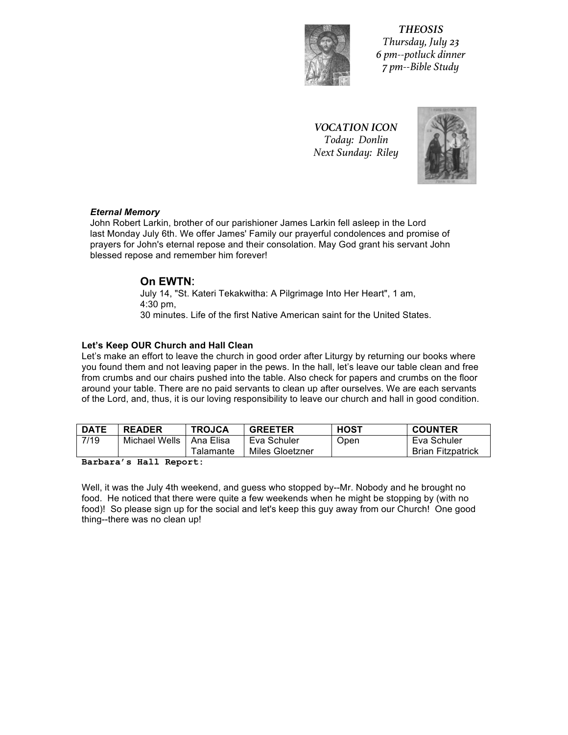

*THEOSIS Thursday, July 23 6 pm--potluck dinner 7 pm--Bible Study*

*VOCATION ICON Today: Donlin Next Sunday: Riley* 



### *Eternal!Memory*

John Robert Larkin, brother of our parishioner James Larkin fell asleep in the Lord last Monday July 6th. We offer James' Family our prayerful condolences and promise of prayers for John's eternal repose and their consolation. May God grant his servant John blessed repose and remember him forever!

# **On!EWTN**:

July 14, "St. Kateri Tekakwitha: A Pilgrimage Into Her Heart", 1 am,  $4:30$  pm, 30 minutes. Life of the first Native American saint for the United States.

# Let's Keep OUR Church and Hall Clean

Let's Neep OOR Ontiformand fram Orean<br>Let's make an effort to leave the church in good order after Liturgy by returning our books where you found them and not leaving paper in the pews. In the hall, let's leave our table clean and free from crumbs and our chairs pushed into the table. Also check for papers and crumbs on the floor around your table. There are no paid servants to clean up after ourselves. We are each servants of the Lord, and, thus, it is our loving responsibility to leave our church and hall in good condition.

| <b>DATE</b> | <b>READER</b> | <b>TROJCA</b> | <b>GREETER</b>  | HOST | <b>COUNTER</b>           |
|-------------|---------------|---------------|-----------------|------|--------------------------|
| 7/19        | Michael Wells | Ana Elisa     | Eva Schuler     | Open | Eva Schuler              |
|             |               | ™alamante     | Miles Gloetzner |      | <b>Brian Fitzpatrick</b> |

**Barbara's Hall Report:**

Well, it was the July 4th weekend, and guess who stopped by--Mr. Nobody and he brought no food. He noticed that there were quite a few weekends when he might be stopping by (with no food)! So please sign up for the social and let's keep this guy away from our Church! One good thing--there was no clean up!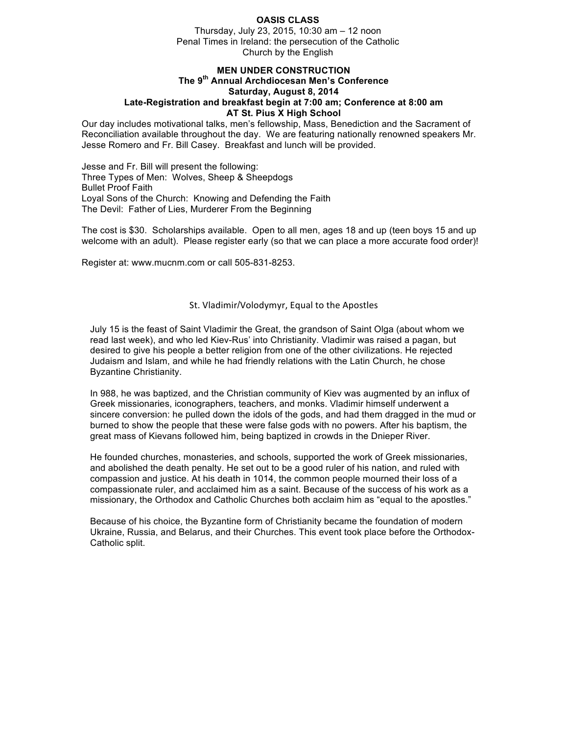### **OASIS CLASS**

Thursday, July 23, 2015, 10:30 am - 12 noon Penal Times in Ireland: the persecution of the Catholic Church by the English

# **MEN UNDER CONSTRUCTION** The 9<sup>th</sup> Annual Archdiocesan Men's Conference Saturday, August 8, 2014 Late-Registration and breakfast begin at 7:00 am; Conference at 8:00 am

### AT St. Pius X High School

Our day includes motivational talks, men's fellowship, Mass, Benediction and the Sacrament of Reconciliation available throughout the day. We are featuring nationally renowned speakers Mr. Jesse Romero and Fr. Bill Casey. Breakfast and lunch will be provided.

Jesse and Fr. Bill will present the following: Three Types of Men: Wolves, Sheep & Sheepdogs **Bullet Proof Faith** Loyal Sons of the Church: Knowing and Defending the Faith The Devil: Father of Lies, Murderer From the Beginning

The cost is \$30. Scholarships available. Open to all men, ages 18 and up (teen boys 15 and up welcome with an adult). Please register early (so that we can place a more accurate food order)!

Register at: www.mucnm.com or call 505-831-8253.

### St. Vladimir/Volodymyr, Equal to the Apostles

July 15 is the feast of Saint Vladimir the Great, the grandson of Saint Olga (about whom we read last week), and who led Kiev-Rus' into Christianity. Vladimir was raised a pagan, but desired to give his people a better religion from one of the other civilizations. He rejected Judaism and Islam, and while he had friendly relations with the Latin Church, he chose **Byzantine Christianity.** 

In 988, he was baptized, and the Christian community of Kiev was augmented by an influx of Greek missionaries, iconographers, teachers, and monks. Vladimir himself underwent a sincere conversion: he pulled down the idols of the gods, and had them dragged in the mud or burned to show the people that these were false gods with no powers. After his baptism, the great mass of Kievans followed him, being baptized in crowds in the Dnieper River.

He founded churches, monasteries, and schools, supported the work of Greek missionaries, and abolished the death penalty. He set out to be a good ruler of his nation, and ruled with compassion and justice. At his death in 1014, the common people mourned their loss of a compassionate ruler, and acclaimed him as a saint. Because of the success of his work as a missionary, the Orthodox and Catholic Churches both acclaim him as "equal to the apostles."

Because of his choice, the Byzantine form of Christianity became the foundation of modern Ukraine, Russia, and Belarus, and their Churches. This event took place before the Orthodox-Catholic split.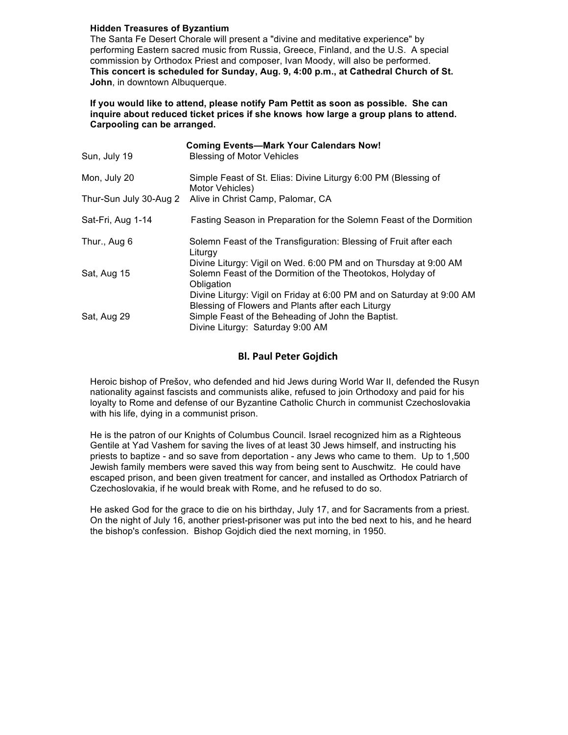### **Hidden Treasures of Byzantium**

The Santa Fe Desert Chorale will present a "divine and meditative experience" by performing Eastern sacred music from Russia, Greece, Finland, and the U.S. A special commission by Orthodox Priest and composer, Ivan Moody, will also be performed. This concert is scheduled for Sunday, Aug. 9, 4:00 p.m., at Cathedral Church of St. John, in downtown Albuquerque.

If you would like to attend, please notify Pam Pettit as soon as possible. She can inquire about reduced ticket prices if she knows how large a group plans to attend. Carpooling can be arranged.

|                        | <b>Coming Events-Mark Your Calendars Now!</b>                                                                                                |
|------------------------|----------------------------------------------------------------------------------------------------------------------------------------------|
| Sun, July 19           | <b>Blessing of Motor Vehicles</b>                                                                                                            |
| Mon, July 20           | Simple Feast of St. Elias: Divine Liturgy 6:00 PM (Blessing of<br>Motor Vehicles)                                                            |
| Thur-Sun July 30-Aug 2 | Alive in Christ Camp, Palomar, CA                                                                                                            |
| Sat-Fri, Aug 1-14      | Fasting Season in Preparation for the Solemn Feast of the Dormition                                                                          |
| Thur., Aug 6           | Solemn Feast of the Transfiguration: Blessing of Fruit after each<br>Liturgy                                                                 |
| Sat, Aug 15            | Divine Liturgy: Vigil on Wed. 6:00 PM and on Thursday at 9:00 AM<br>Solemn Feast of the Dormition of the Theotokos, Holyday of<br>Obligation |
|                        | Divine Liturgy: Vigil on Friday at 6:00 PM and on Saturday at 9:00 AM<br>Blessing of Flowers and Plants after each Liturgy                   |
| Sat, Aug 29            | Simple Feast of the Beheading of John the Baptist.<br>Divine Liturgy: Saturday 9:00 AM                                                       |

# **Bl. Paul Peter Gojdich**

Heroic bishop of Prešov, who defended and hid Jews during World War II, defended the Rusyn nationality against fascists and communists alike, refused to join Orthodoxy and paid for his loyalty to Rome and defense of our Byzantine Catholic Church in communist Czechoslovakia with his life, dying in a communist prison.

He is the patron of our Knights of Columbus Council. Israel recognized him as a Righteous Gentile at Yad Vashem for saving the lives of at least 30 Jews himself, and instructing his priests to baptize - and so save from deportation - any Jews who came to them. Up to 1,500 Jewish family members were saved this way from being sent to Auschwitz. He could have escaped prison, and been given treatment for cancer, and installed as Orthodox Patriarch of Czechoslovakia, if he would break with Rome, and he refused to do so.

He asked God for the grace to die on his birthday, July 17, and for Sacraments from a priest. On the night of July 16, another priest-prisoner was put into the bed next to his, and he heard the bishop's confession. Bishop Gojdich died the next morning, in 1950.